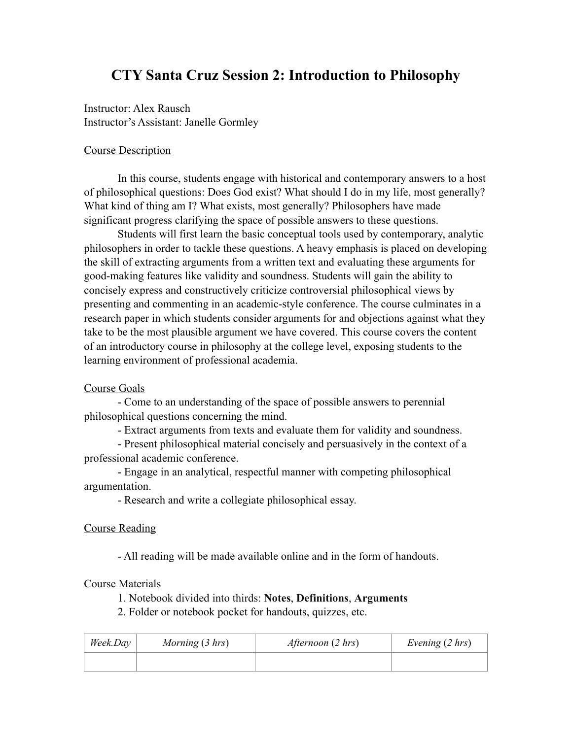# **CTY Santa Cruz Session 2: Introduction to Philosophy**

Instructor: Alex Rausch Instructor's Assistant: Janelle Gormley

## Course Description

 In this course, students engage with historical and contemporary answers to a host of philosophical questions: Does God exist? What should I do in my life, most generally? What kind of thing am I? What exists, most generally? Philosophers have made significant progress clarifying the space of possible answers to these questions.

 Students will first learn the basic conceptual tools used by contemporary, analytic philosophers in order to tackle these questions. A heavy emphasis is placed on developing the skill of extracting arguments from a written text and evaluating these arguments for good-making features like validity and soundness. Students will gain the ability to concisely express and constructively criticize controversial philosophical views by presenting and commenting in an academic-style conference. The course culminates in a research paper in which students consider arguments for and objections against what they take to be the most plausible argument we have covered. This course covers the content of an introductory course in philosophy at the college level, exposing students to the learning environment of professional academia.

### Course Goals

 - Come to an understanding of the space of possible answers to perennial philosophical questions concerning the mind.

- Extract arguments from texts and evaluate them for validity and soundness.

 - Present philosophical material concisely and persuasively in the context of a professional academic conference.

 - Engage in an analytical, respectful manner with competing philosophical argumentation.

- Research and write a collegiate philosophical essay.

### Course Reading

- All reading will be made available online and in the form of handouts.

### Course Materials

1. Notebook divided into thirds: **Notes**, **Definitions**, **Arguments**

2. Folder or notebook pocket for handouts, quizzes, etc.

| Week.Day | Morning $(3 hrs)$ | <i>Afternoon</i> (2 hrs) | Evening $(2 hrs)$ |
|----------|-------------------|--------------------------|-------------------|
|          |                   |                          |                   |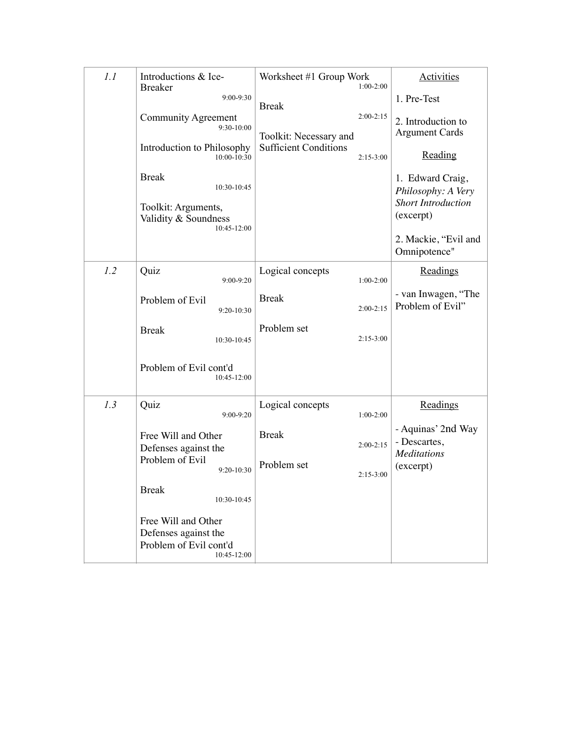| 1.1 | Introductions & Ice-<br><b>Breaker</b>                                                 | Worksheet #1 Group Work      | $1:00-2:00$ | <b>Activities</b>                                        |
|-----|----------------------------------------------------------------------------------------|------------------------------|-------------|----------------------------------------------------------|
|     | $9:00 - 9:30$                                                                          | <b>Break</b>                 |             | 1. Pre-Test                                              |
|     | Community Agreement<br>9:30-10:00                                                      | Toolkit: Necessary and       | $2:00-2:15$ | 2. Introduction to<br><b>Argument Cards</b>              |
|     | Introduction to Philosophy<br>$10:00 - 10:30$                                          | <b>Sufficient Conditions</b> | $2:15-3:00$ | Reading                                                  |
|     | <b>Break</b><br>10:30-10:45                                                            |                              |             | 1. Edward Craig,<br>Philosophy: A Very                   |
|     | Toolkit: Arguments,<br>Validity & Soundness<br>10:45-12:00                             |                              |             | <b>Short Introduction</b><br>(excerpt)                   |
|     |                                                                                        |                              |             | 2. Mackie, "Evil and<br>Omnipotence"                     |
| 1.2 | Quiz<br>$9:00 - 9:20$                                                                  | Logical concepts             | $1:00-2:00$ | Readings                                                 |
|     | Problem of Evil<br>$9:20-10:30$                                                        | <b>Break</b>                 | $2:00-2:15$ | - van Inwagen, "The<br>Problem of Evil"                  |
|     | <b>Break</b><br>10:30-10:45                                                            | Problem set                  | $2:15-3:00$ |                                                          |
|     | Problem of Evil cont'd<br>10:45-12:00                                                  |                              |             |                                                          |
| 1.3 | Quiz<br>$9:00 - 9:20$                                                                  | Logical concepts             | $1:00-2:00$ | Readings                                                 |
|     | Free Will and Other<br>Defenses against the                                            | <b>Break</b>                 | $2:00-2:15$ | - Aquinas' 2nd Way<br>- Descartes,<br><b>Meditations</b> |
|     | Problem of Evil<br>$9:20 - 10:30$                                                      | Problem set                  | $2:15-3:00$ | (excerpt)                                                |
|     | <b>Break</b><br>10:30-10:45                                                            |                              |             |                                                          |
|     | Free Will and Other<br>Defenses against the<br>Problem of Evil cont'd<br>$10:45-12:00$ |                              |             |                                                          |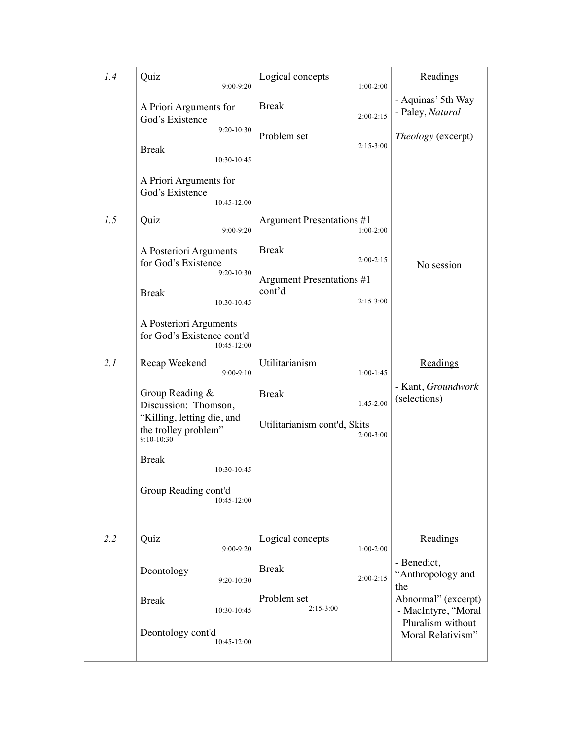| 1.4 | Quiz<br>9:00-9:20                                                                                             | Logical concepts<br>$1:00-2:00$                                                   | Readings                                                        |
|-----|---------------------------------------------------------------------------------------------------------------|-----------------------------------------------------------------------------------|-----------------------------------------------------------------|
|     | A Priori Arguments for<br>God's Existence                                                                     | <b>Break</b><br>$2:00 - 2:15$                                                     | - Aquinas' 5th Way<br>- Paley, Natural                          |
|     | $9:20-10:30$<br><b>Break</b><br>10:30-10:45                                                                   | Problem set<br>$2:15-3:00$                                                        | Theology (excerpt)                                              |
|     | A Priori Arguments for<br>God's Existence<br>10:45-12:00                                                      |                                                                                   |                                                                 |
| 1.5 | Quiz<br>9:00-9:20                                                                                             | Argument Presentations #1<br>$1:00-2:00$                                          |                                                                 |
|     | A Posteriori Arguments<br>for God's Existence<br>$9:20 - 10:30$<br><b>Break</b><br>10:30-10:45                | <b>Break</b><br>$2:00-2:15$<br>Argument Presentations #1<br>cont'd<br>$2:15-3:00$ | No session                                                      |
|     | A Posteriori Arguments<br>for God's Existence cont'd<br>10:45-12:00                                           |                                                                                   |                                                                 |
| 2.1 | Recap Weekend<br>$9:00 - 9:10$                                                                                | Utilitarianism<br>$1:00-1:45$                                                     | Readings                                                        |
|     | Group Reading &<br>Discussion: Thomson,<br>"Killing, letting die, and<br>the trolley problem"<br>$9:10-10:30$ | <b>Break</b><br>$1:45-2:00$<br>Utilitarianism cont'd, Skits<br>$2:00-3:00$        | - Kant, Groundwork<br>(selections)                              |
|     | <b>Break</b><br>10:30-10:45                                                                                   |                                                                                   |                                                                 |
|     | Group Reading cont'd<br>10:45-12:00                                                                           |                                                                                   |                                                                 |
| 2.2 | Quiz<br>9:00-9:20                                                                                             | Logical concepts<br>$1:00-2:00$                                                   | Readings                                                        |
|     | Deontology<br>9:20-10:30                                                                                      | <b>Break</b><br>$2:00 - 2:15$                                                     | - Benedict,<br>"Anthropology and<br>the                         |
|     | <b>Break</b><br>10:30-10:45                                                                                   | Problem set<br>$2:15-3:00$                                                        | Abnormal" (excerpt)<br>- MacIntyre, "Moral<br>Pluralism without |
|     | Deontology cont'd<br>10:45-12:00                                                                              |                                                                                   | Moral Relativism"                                               |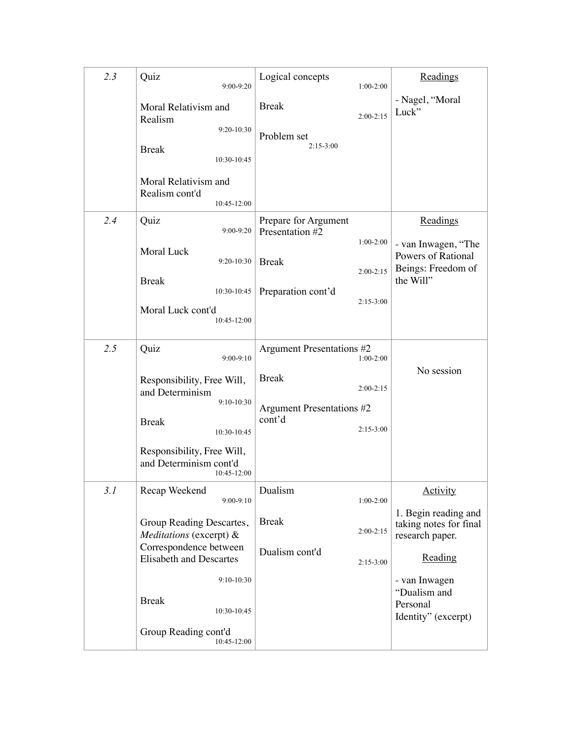| 2.3 | Quiz<br>9:00-9:20                                                                            | Logical concepts<br>$1:00-2:00$                                                   | Readings                                                          |
|-----|----------------------------------------------------------------------------------------------|-----------------------------------------------------------------------------------|-------------------------------------------------------------------|
|     | Moral Relativism and<br>Realism                                                              | <b>Break</b><br>$2:00-2:15$                                                       | - Nagel, "Moral<br>Luck"                                          |
|     | $9:20-10:30$<br><b>Break</b><br>10:30-10:45                                                  | Problem set<br>$2:15-3:00$                                                        |                                                                   |
|     | Moral Relativism and<br>Realism cont'd<br>10:45-12:00                                        |                                                                                   |                                                                   |
| 2.4 | Quiz<br>$9:00 - 9:20$                                                                        | Prepare for Argument<br>Presentation #2<br>$1:00-2:00$                            | Readings<br>- van Inwagen, "The                                   |
|     | <b>Moral Luck</b><br>$9:20-10:30$<br><b>Break</b>                                            | <b>Break</b><br>$2:00-2:15$                                                       | Powers of Rational<br>Beings: Freedom of<br>the Will"             |
|     | 10:30-10:45<br>Moral Luck cont'd<br>10:45-12:00                                              | Preparation cont'd<br>$2:15-3:00$                                                 |                                                                   |
| 2.5 | Quiz<br>$9:00 - 9:10$                                                                        | Argument Presentations #2<br>$1:00-2:00$                                          |                                                                   |
|     | Responsibility, Free Will,<br>and Determinism<br>$9:10-10:30$<br><b>Break</b><br>10:30-10:45 | <b>Break</b><br>$2:00-2:15$<br>Argument Presentations #2<br>cont'd<br>$2:15-3:00$ | No session                                                        |
|     | Responsibility, Free Will,<br>and Determinism cont'd<br>10:45-12:00                          |                                                                                   |                                                                   |
| 3.1 | Recap Weekend<br>$9:00-9:10$                                                                 | Dualism<br>$1:00-2:00$                                                            | <b>Activity</b>                                                   |
|     | Group Reading Descartes,<br>Meditations (excerpt) &                                          | <b>Break</b><br>$2:00-2:15$                                                       | 1. Begin reading and<br>taking notes for final<br>research paper. |
|     | Correspondence between<br><b>Elisabeth and Descartes</b>                                     | Dualism cont'd<br>$2:15-3:00$                                                     | Reading                                                           |
|     | $9:10-10:30$<br><b>Break</b><br>10:30-10:45                                                  |                                                                                   | - van Inwagen<br>"Dualism and<br>Personal<br>Identity" (excerpt)  |
|     | Group Reading cont'd<br>10:45-12:00                                                          |                                                                                   |                                                                   |